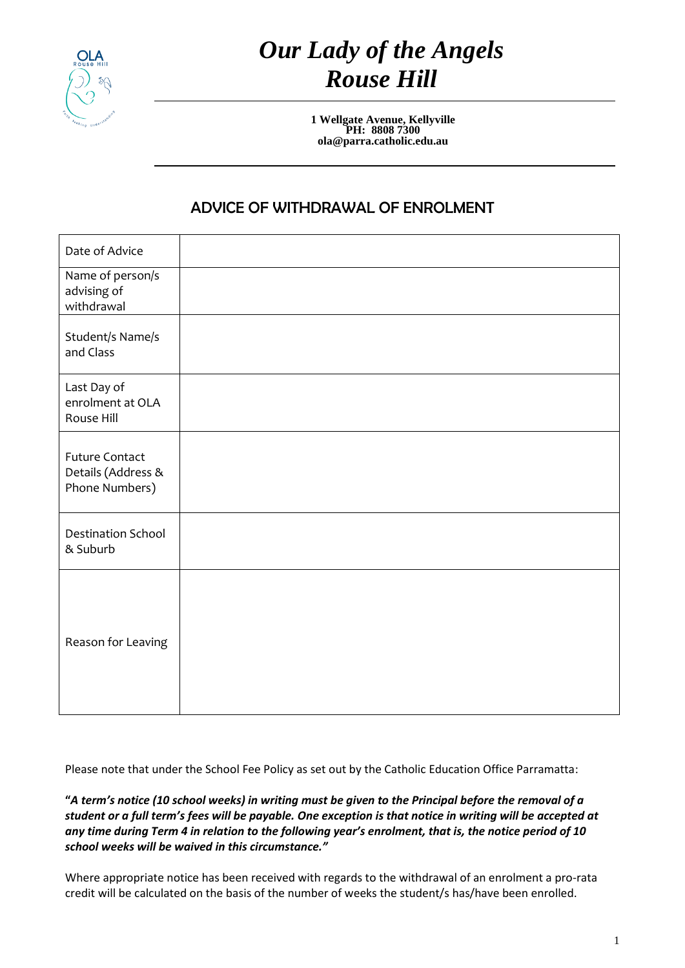

## *Our Lady of the Angels Rouse Hill*

**1 Wellgate Avenue, Kellyville PH: 8808 7300 ola@parra.catholic.edu.au**

## ADVICE OF WITHDRAWAL OF ENROLMENT

| Date of Advice                                                |  |
|---------------------------------------------------------------|--|
| Name of person/s<br>advising of<br>withdrawal                 |  |
| Student/s Name/s<br>and Class                                 |  |
| Last Day of<br>enrolment at OLA<br>Rouse Hill                 |  |
| <b>Future Contact</b><br>Details (Address &<br>Phone Numbers) |  |
| <b>Destination School</b><br>& Suburb                         |  |
| Reason for Leaving                                            |  |

Please note that under the School Fee Policy as set out by the Catholic Education Office Parramatta:

**"***A term's notice (10 school weeks) in writing must be given to the Principal before the removal of a student or a full term's fees will be payable. One exception is that notice in writing will be accepted at any time during Term 4 in relation to the following year's enrolment, that is, the notice period of 10 school weeks will be waived in this circumstance."* 

Where appropriate notice has been received with regards to the withdrawal of an enrolment a pro-rata credit will be calculated on the basis of the number of weeks the student/s has/have been enrolled.